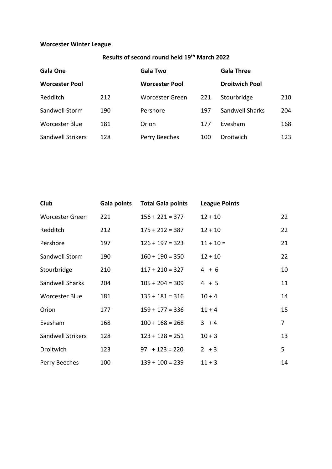## **Worcester Winter League**

## **Results of second round held 19th March 2022**

| Gala One              |     | <b>Gala Two</b>        |     | <b>Gala Three</b>     |     |
|-----------------------|-----|------------------------|-----|-----------------------|-----|
| <b>Worcester Pool</b> |     | <b>Worcester Pool</b>  |     | <b>Droitwich Pool</b> |     |
| Redditch              | 212 | <b>Worcester Green</b> | 221 | Stourbridge           | 210 |
| Sandwell Storm        | 190 | Pershore               | 197 | Sandwell Sharks       | 204 |
| <b>Worcester Blue</b> | 181 | Orion                  | 177 | Evesham               | 168 |
| Sandwell Strikers     | 128 | Perry Beeches          | 100 | Droitwich             | 123 |

| Club                   | Gala points | <b>Total Gala points</b> | <b>League Points</b> |                 |
|------------------------|-------------|--------------------------|----------------------|-----------------|
| <b>Worcester Green</b> | 221         | $156 + 221 = 377$        | $12 + 10$            | 22              |
| Redditch               | 212         | $175 + 212 = 387$        | $12 + 10$            | 22              |
| Pershore               | 197         | $126 + 197 = 323$        | $11 + 10 =$          | 21              |
| Sandwell Storm         | 190         | $160 + 190 = 350$        | $12 + 10$            | 22 <sub>2</sub> |
| Stourbridge            | 210         | $117 + 210 = 327$        | $4 + 6$              | 10              |
| Sandwell Sharks        | 204         | $105 + 204 = 309$        | $4 + 5$              | 11              |
| <b>Worcester Blue</b>  | 181         | $135 + 181 = 316$        | $10 + 4$             | 14              |
| Orion                  | 177         | $159 + 177 = 336$        | $11 + 4$             | 15              |
| Evesham                | 168         | $100 + 168 = 268$        | $3 + 4$              | $\overline{7}$  |
| Sandwell Strikers      | 128         | $123 + 128 = 251$        | $10 + 3$             | 13              |
| Droitwich              | 123         | $97 + 123 = 220$         | $2 + 3$              | 5               |
| Perry Beeches          | 100         | $139 + 100 = 239$        | $11 + 3$             | 14              |